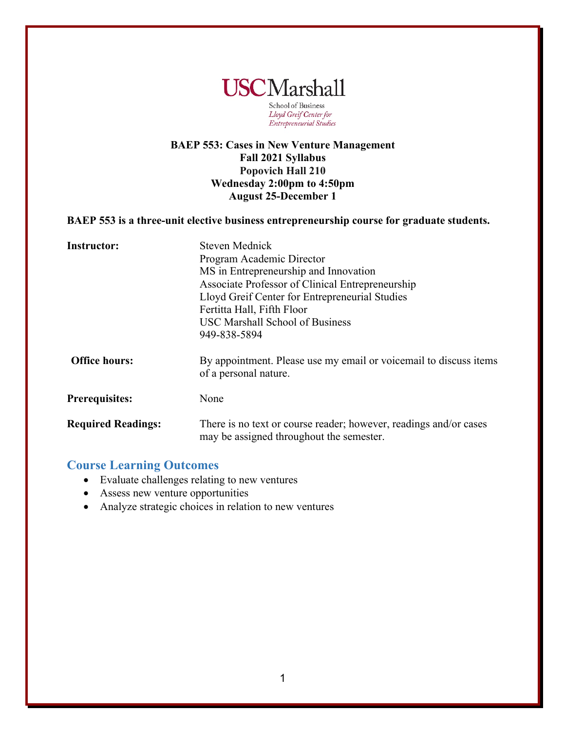

School of Business Lloyd Greif Center for Entrepreneurial Studies

## **BAEP 553: Cases in New Venture Management Fall 2021 Syllabus Popovich Hall 210 Wednesday 2:00pm to 4:50pm August 25-December 1**

#### **BAEP 553 is a three-unit elective business entrepreneurship course for graduate students.**

| <b>Instructor:</b>        | Steven Mednick<br>Program Academic Director<br>MS in Entrepreneurship and Innovation<br>Associate Professor of Clinical Entrepreneurship |
|---------------------------|------------------------------------------------------------------------------------------------------------------------------------------|
|                           | Lloyd Greif Center for Entrepreneurial Studies<br>Fertitta Hall, Fifth Floor<br><b>USC Marshall School of Business</b><br>949-838-5894   |
| <b>Office hours:</b>      | By appointment. Please use my email or voicemail to discuss items<br>of a personal nature.                                               |
| <b>Prerequisites:</b>     | None                                                                                                                                     |
| <b>Required Readings:</b> | There is no text or course reader; however, readings and/or cases<br>may be assigned throughout the semester.                            |

## **Course Learning Outcomes**

- Evaluate challenges relating to new ventures
- Assess new venture opportunities
- Analyze strategic choices in relation to new ventures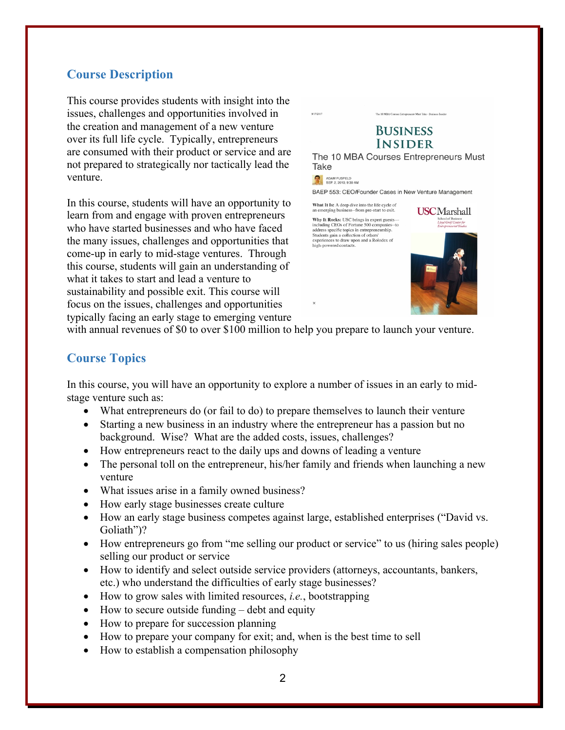## **Course Description**

This course provides students with insight into the issues, challenges and opportunities involved in the creation and management of a new venture over its full life cycle. Typically, entrepreneurs are consumed with their product or service and are not prepared to strategically nor tactically lead the venture.

In this course, students will have an opportunity to learn from and engage with proven entrepreneurs who have started businesses and who have faced the many issues, challenges and opportunities that come-up in early to mid-stage ventures. Through this course, students will gain an understanding of what it takes to start and lead a venture to sustainability and possible exit. This course will focus on the issues, challenges and opportunities typically facing an early stage to emerging venture



with annual revenues of \$0 to over \$100 million to help you prepare to launch your venture.

#### **Course Topics**

In this course, you will have an opportunity to explore a number of issues in an early to midstage venture such as:

- What entrepreneurs do (or fail to do) to prepare themselves to launch their venture
- Starting a new business in an industry where the entrepreneur has a passion but no background. Wise? What are the added costs, issues, challenges?
- How entrepreneurs react to the daily ups and downs of leading a venture
- The personal toll on the entrepreneur, his/her family and friends when launching a new venture
- What issues arise in a family owned business?
- How early stage businesses create culture
- How an early stage business competes against large, established enterprises ("David vs. Goliath")?
- How entrepreneurs go from "me selling our product or service" to us (hiring sales people) selling our product or service
- How to identify and select outside service providers (attorneys, accountants, bankers, etc.) who understand the difficulties of early stage businesses?
- How to grow sales with limited resources, *i.e.*, bootstrapping
- How to secure outside funding debt and equity
- How to prepare for succession planning
- How to prepare your company for exit; and, when is the best time to sell
- How to establish a compensation philosophy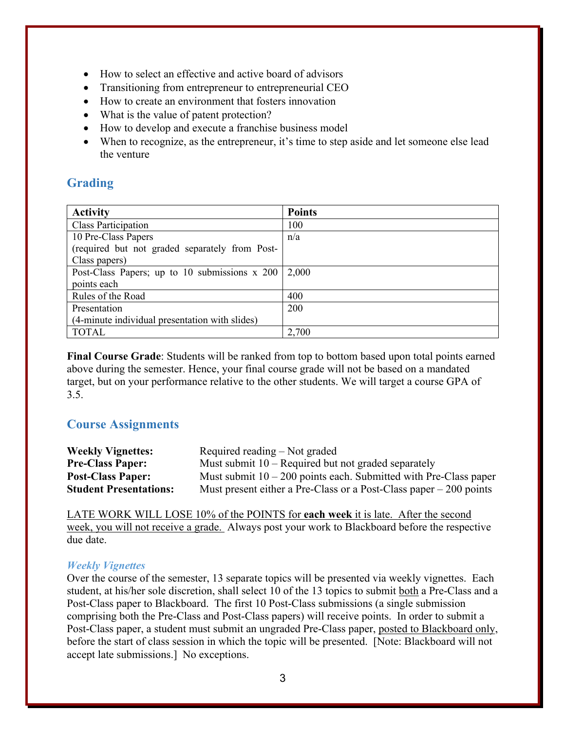- How to select an effective and active board of advisors
- Transitioning from entrepreneur to entrepreneurial CEO
- How to create an environment that fosters innovation
- What is the value of patent protection?
- How to develop and execute a franchise business model
- When to recognize, as the entrepreneur, it's time to step aside and let someone else lead the venture

## **Grading**

| <b>Activity</b>                                | <b>Points</b> |
|------------------------------------------------|---------------|
| <b>Class Participation</b>                     | 100           |
| 10 Pre-Class Papers                            | n/a           |
| (required but not graded separately from Post- |               |
| Class papers)                                  |               |
| Post-Class Papers; up to 10 submissions x 200  | 2,000         |
| points each                                    |               |
| Rules of the Road                              | 400           |
| Presentation                                   | 200           |
| (4-minute individual presentation with slides) |               |
| <b>TOTAL</b>                                   | 2,700         |

**Final Course Grade**: Students will be ranked from top to bottom based upon total points earned above during the semester. Hence, your final course grade will not be based on a mandated target, but on your performance relative to the other students. We will target a course GPA of 3.5.

## **Course Assignments**

| <b>Weekly Vignettes:</b>      | Required reading – Not graded                                       |
|-------------------------------|---------------------------------------------------------------------|
| <b>Pre-Class Paper:</b>       | Must submit $10$ – Required but not graded separately               |
| <b>Post-Class Paper:</b>      | Must submit $10 - 200$ points each. Submitted with Pre-Class paper  |
| <b>Student Presentations:</b> | Must present either a Pre-Class or a Post-Class paper $-200$ points |

LATE WORK WILL LOSE 10% of the POINTS for **each week** it is late. After the second week, you will not receive a grade. Always post your work to Blackboard before the respective due date.

## *Weekly Vignettes*

Over the course of the semester, 13 separate topics will be presented via weekly vignettes. Each student, at his/her sole discretion, shall select 10 of the 13 topics to submit both a Pre-Class and a Post-Class paper to Blackboard. The first 10 Post-Class submissions (a single submission comprising both the Pre-Class and Post-Class papers) will receive points. In order to submit a Post-Class paper, a student must submit an ungraded Pre-Class paper, posted to Blackboard only, before the start of class session in which the topic will be presented. [Note: Blackboard will not accept late submissions.] No exceptions.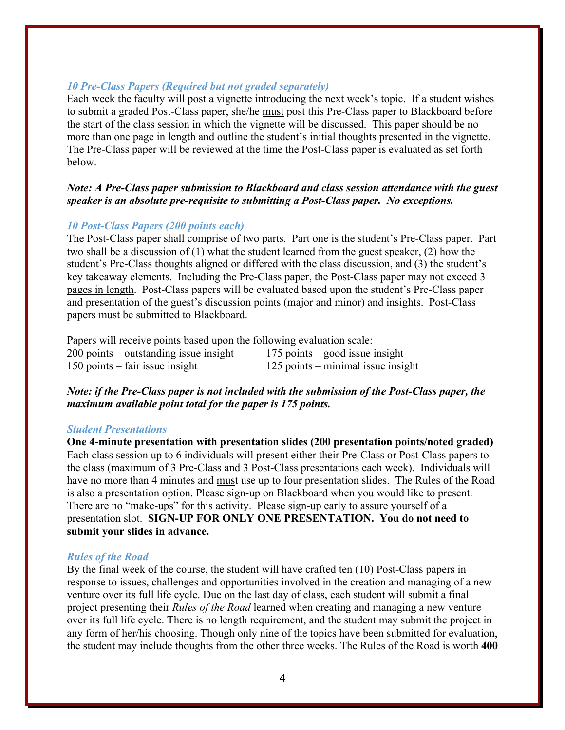#### *10 Pre-Class Papers (Required but not graded separately)*

Each week the faculty will post a vignette introducing the next week's topic. If a student wishes to submit a graded Post-Class paper, she/he must post this Pre-Class paper to Blackboard before the start of the class session in which the vignette will be discussed. This paper should be no more than one page in length and outline the student's initial thoughts presented in the vignette. The Pre-Class paper will be reviewed at the time the Post-Class paper is evaluated as set forth below.

#### *Note: A Pre-Class paper submission to Blackboard and class session attendance with the guest speaker is an absolute pre-requisite to submitting a Post-Class paper. No exceptions.*

#### *10 Post-Class Papers (200 points each)*

The Post-Class paper shall comprise of two parts. Part one is the student's Pre-Class paper. Part two shall be a discussion of (1) what the student learned from the guest speaker, (2) how the student's Pre-Class thoughts aligned or differed with the class discussion, and (3) the student's key takeaway elements. Including the Pre-Class paper, the Post-Class paper may not exceed 3 pages in length. Post-Class papers will be evaluated based upon the student's Pre-Class paper and presentation of the guest's discussion points (major and minor) and insights. Post-Class papers must be submitted to Blackboard.

| Papers will receive points based upon the following evaluation scale: |                                      |
|-----------------------------------------------------------------------|--------------------------------------|
| $200$ points – outstanding issue insight                              | 175 points – good issue insight      |
| $150$ points – fair issue insight                                     | $125$ points – minimal issue insight |

#### *Note: if the Pre-Class paper is not included with the submission of the Post-Class paper, the maximum available point total for the paper is 175 points.*

#### *Student Presentations*

**One 4-minute presentation with presentation slides (200 presentation points/noted graded)** Each class session up to 6 individuals will present either their Pre-Class or Post-Class papers to the class (maximum of 3 Pre-Class and 3 Post-Class presentations each week). Individuals will have no more than 4 minutes and must use up to four presentation slides. The Rules of the Road is also a presentation option. Please sign-up on Blackboard when you would like to present. There are no "make-ups" for this activity. Please sign-up early to assure yourself of a presentation slot. **SIGN-UP FOR ONLY ONE PRESENTATION. You do not need to submit your slides in advance.**

#### *Rules of the Road*

By the final week of the course, the student will have crafted ten (10) Post-Class papers in response to issues, challenges and opportunities involved in the creation and managing of a new venture over its full life cycle. Due on the last day of class, each student will submit a final project presenting their *Rules of the Road* learned when creating and managing a new venture over its full life cycle. There is no length requirement, and the student may submit the project in any form of her/his choosing. Though only nine of the topics have been submitted for evaluation, the student may include thoughts from the other three weeks. The Rules of the Road is worth **400**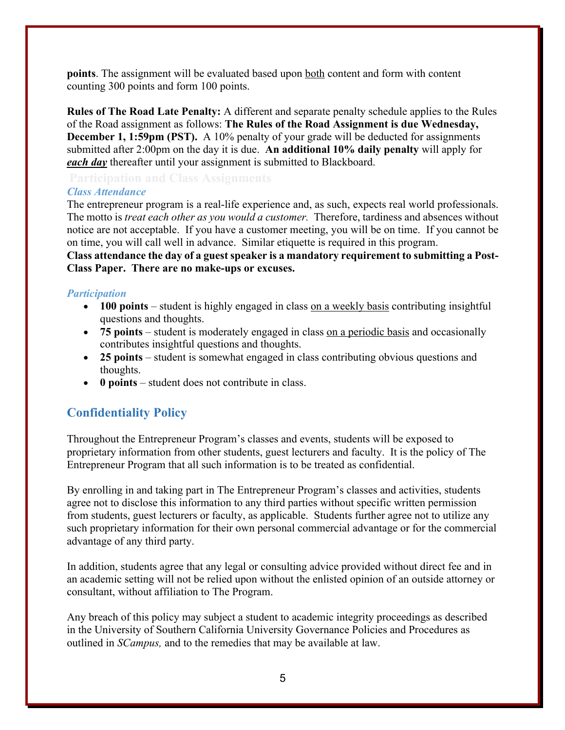**points**. The assignment will be evaluated based upon both content and form with content counting 300 points and form 100 points.

**Rules of The Road Late Penalty:** A different and separate penalty schedule applies to the Rules of the Road assignment as follows: **The Rules of the Road Assignment is due Wednesday, December 1, 1:59pm (PST).** A 10% penalty of your grade will be deducted for assignments submitted after 2:00pm on the day it is due. **An additional 10% daily penalty** will apply for *each day* thereafter until your assignment is submitted to Blackboard.

#### *Class Attendance*

The entrepreneur program is a real-life experience and, as such, expects real world professionals. The motto is *treat each other as you would a customer.* Therefore, tardiness and absences without notice are not acceptable. If you have a customer meeting, you will be on time. If you cannot be on time, you will call well in advance. Similar etiquette is required in this program.

**Class attendance the day of a guest speaker is a mandatory requirement to submitting a Post-Class Paper. There are no make-ups or excuses.** 

#### *Participation*

- **100 points** student is highly engaged in class on a weekly basis contributing insightful questions and thoughts.
- **75 points** student is moderately engaged in class on a periodic basis and occasionally contributes insightful questions and thoughts.
- **25 points** student is somewhat engaged in class contributing obvious questions and thoughts.
- **0 points** student does not contribute in class.

## **Confidentiality Policy**

Throughout the Entrepreneur Program's classes and events, students will be exposed to proprietary information from other students, guest lecturers and faculty. It is the policy of The Entrepreneur Program that all such information is to be treated as confidential.

By enrolling in and taking part in The Entrepreneur Program's classes and activities, students agree not to disclose this information to any third parties without specific written permission from students, guest lecturers or faculty, as applicable. Students further agree not to utilize any such proprietary information for their own personal commercial advantage or for the commercial advantage of any third party.

In addition, students agree that any legal or consulting advice provided without direct fee and in an academic setting will not be relied upon without the enlisted opinion of an outside attorney or consultant, without affiliation to The Program.

Any breach of this policy may subject a student to academic integrity proceedings as described in the University of Southern California University Governance Policies and Procedures as outlined in *SCampus,* and to the remedies that may be available at law.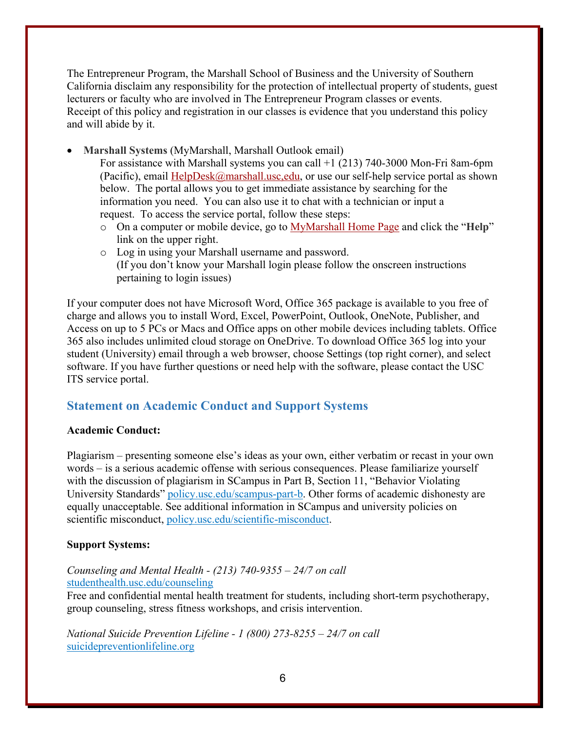The Entrepreneur Program, the Marshall School of Business and the University of Southern California disclaim any responsibility for the protection of intellectual property of students, guest lecturers or faculty who are involved in The Entrepreneur Program classes or events. Receipt of this policy and registration in our classes is evidence that you understand this policy and will abide by it.

• **Marshall Systems** (MyMarshall, Marshall Outlook email)

For assistance with Marshall systems you can call +1 (213) 740-3000 Mon-Fri 8am-6pm (Pacific), email  $\text{HelpDesk}(\mathcal{Q})$  marshall.usc, edu, or use our self-help service portal as shown below. The portal allows you to get immediate assistance by searching for the information you need. You can also use it to chat with a technician or input a request. To access the service portal, follow these steps:

- o On a computer or mobile device, go to MyMarshall Home Page and click the "**Help**" link on the upper right.
- o Log in using your Marshall username and password. (If you don't know your Marshall login please follow the onscreen instructions pertaining to login issues)

If your computer does not have Microsoft Word, Office 365 package is available to you free of charge and allows you to install Word, Excel, PowerPoint, Outlook, OneNote, Publisher, and Access on up to 5 PCs or Macs and Office apps on other mobile devices including tablets. Office 365 also includes unlimited cloud storage on OneDrive. To download Office 365 log into your student (University) email through a web browser, choose Settings (top right corner), and select software. If you have further questions or need help with the software, please contact the USC ITS service portal.

## **Statement on Academic Conduct and Support Systems**

#### **Academic Conduct:**

Plagiarism – presenting someone else's ideas as your own, either verbatim or recast in your own words – is a serious academic offense with serious consequences. Please familiarize yourself with the discussion of plagiarism in SCampus in Part B, Section 11, "Behavior Violating University Standards" policy.usc.edu/scampus-part-b. Other forms of academic dishonesty are equally unacceptable. See additional information in SCampus and university policies on scientific misconduct, policy.usc.edu/scientific-misconduct.

#### **Support Systems:**

## *Counseling and Mental Health - (213) 740-9355 – 24/7 on call* studenthealth.usc.edu/counseling

Free and confidential mental health treatment for students, including short-term psychotherapy, group counseling, stress fitness workshops, and crisis intervention.

*National Suicide Prevention Lifeline - 1 (800) 273-8255 – 24/7 on call* suicidepreventionlifeline.org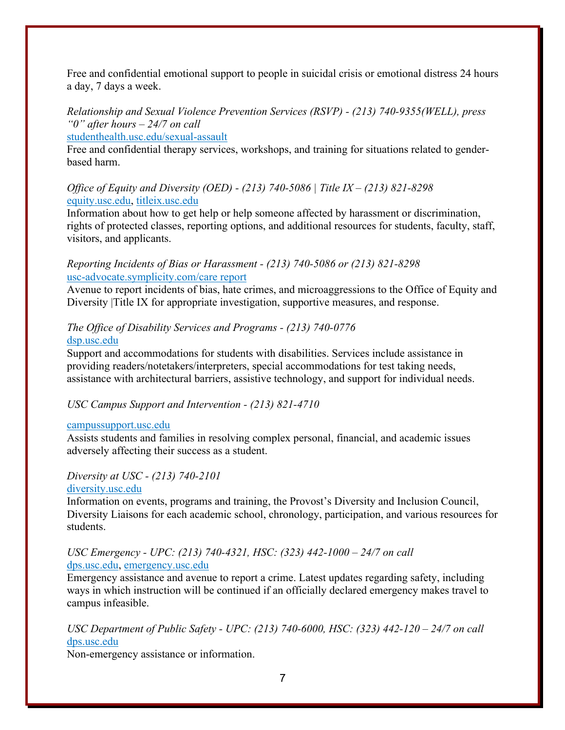Free and confidential emotional support to people in suicidal crisis or emotional distress 24 hours a day, 7 days a week.

## *Relationship and Sexual Violence Prevention Services (RSVP) - (213) 740-9355(WELL), press "0" after hours – 24/7 on call*

studenthealth.usc.edu/sexual-assault

Free and confidential therapy services, workshops, and training for situations related to genderbased harm.

#### *Office of Equity and Diversity (OED) - (213) 740-5086 | Title IX – (213) 821-8298* equity.usc.edu, titleix.usc.edu

Information about how to get help or help someone affected by harassment or discrimination, rights of protected classes, reporting options, and additional resources for students, faculty, staff, visitors, and applicants.

#### *Reporting Incidents of Bias or Harassment - (213) 740-5086 or (213) 821-8298* usc-advocate.symplicity.com/care report

Avenue to report incidents of bias, hate crimes, and microaggressions to the Office of Equity and Diversity |Title IX for appropriate investigation, supportive measures, and response.

## *The Office of Disability Services and Programs - (213) 740-0776* dsp.usc.edu

Support and accommodations for students with disabilities. Services include assistance in providing readers/notetakers/interpreters, special accommodations for test taking needs, assistance with architectural barriers, assistive technology, and support for individual needs.

## *USC Campus Support and Intervention - (213) 821-4710*

#### campussupport.usc.edu

Assists students and families in resolving complex personal, financial, and academic issues adversely affecting their success as a student.

## *Diversity at USC - (213) 740-2101*

## diversity.usc.edu

Information on events, programs and training, the Provost's Diversity and Inclusion Council, Diversity Liaisons for each academic school, chronology, participation, and various resources for students.

## *USC Emergency - UPC: (213) 740-4321, HSC: (323) 442-1000 – 24/7 on call*  dps.usc.edu, emergency.usc.edu

Emergency assistance and avenue to report a crime. Latest updates regarding safety, including ways in which instruction will be continued if an officially declared emergency makes travel to campus infeasible.

*USC Department of Public Safety - UPC: (213) 740-6000, HSC: (323) 442-120 – 24/7 on call*  dps.usc.edu

Non-emergency assistance or information.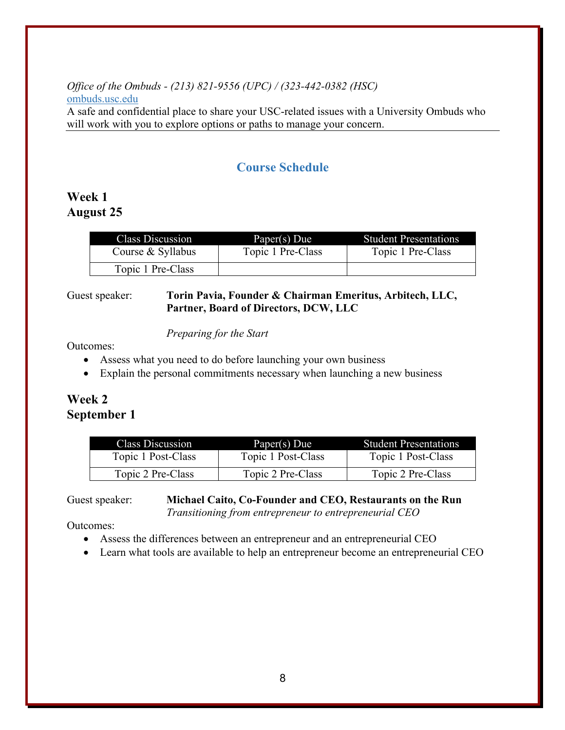## *Office of the Ombuds - (213) 821-9556 (UPC) / (323-442-0382 (HSC)* ombuds.usc.edu

A safe and confidential place to share your USC-related issues with a University Ombuds who will work with you to explore options or paths to manage your concern.

## **Course Schedule**

## **Week 1 August 25**

| Class Discussion  | Paper(s) Due      | <b>Student Presentations</b> |
|-------------------|-------------------|------------------------------|
| Course & Syllabus | Topic 1 Pre-Class | Topic 1 Pre-Class            |
| Topic 1 Pre-Class |                   |                              |

#### Guest speaker: **Torin Pavia, Founder & Chairman Emeritus, Arbitech, LLC, Partner, Board of Directors, DCW, LLC**

#### *Preparing for the Start*

Outcomes:

- Assess what you need to do before launching your own business
- Explain the personal commitments necessary when launching a new business

## **Week 2 September 1**

| Class Discussion   | Paper(s) Due       | <b>Student Presentations</b> |
|--------------------|--------------------|------------------------------|
| Topic 1 Post-Class | Topic 1 Post-Class | Topic 1 Post-Class           |
| Topic 2 Pre-Class  | Topic 2 Pre-Class  | Topic 2 Pre-Class            |

Guest speaker: **Michael Caito, Co-Founder and CEO, Restaurants on the Run** *Transitioning from entrepreneur to entrepreneurial CEO*

- Assess the differences between an entrepreneur and an entrepreneurial CEO
- Learn what tools are available to help an entrepreneur become an entrepreneurial CEO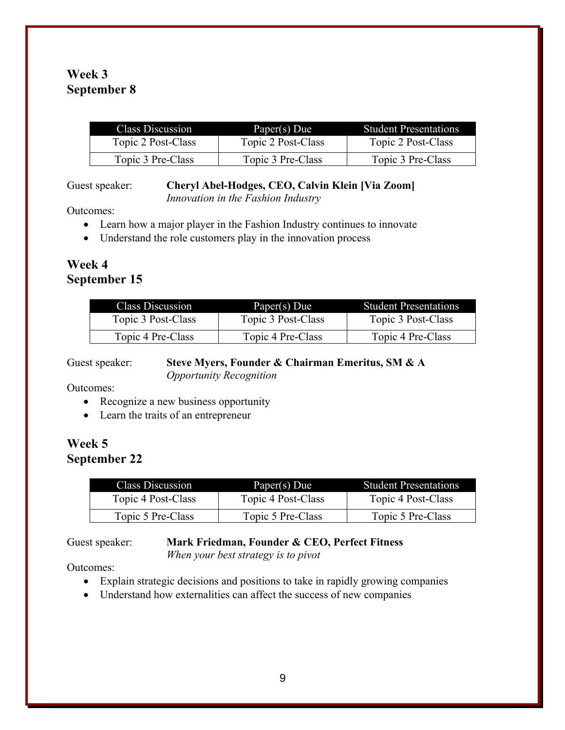## **Week 3 September 8**

| Class Discussion   | Paper(s) Due       | <b>Student Presentations</b> |
|--------------------|--------------------|------------------------------|
| Topic 2 Post-Class | Topic 2 Post-Class | Topic 2 Post-Class           |
| Topic 3 Pre-Class  | Topic 3 Pre-Class  | Topic 3 Pre-Class            |

Guest speaker: **Cheryl Abel-Hodges, CEO, Calvin Klein [Via Zoom]**

*Innovation in the Fashion Industry*

Outcomes:

- Learn how a major player in the Fashion Industry continues to innovate
- Understand the role customers play in the innovation process

## **Week 4 September 15**

| Class Discussion   | Paper(s) Due       | <b>Student Presentations</b> |
|--------------------|--------------------|------------------------------|
| Topic 3 Post-Class | Topic 3 Post-Class | Topic 3 Post-Class           |
| Topic 4 Pre-Class  | Topic 4 Pre-Class  | Topic 4 Pre-Class            |

Guest speaker: **Steve Myers, Founder & Chairman Emeritus, SM & A** *Opportunity Recognition*

Outcomes:

- Recognize a new business opportunity
- Learn the traits of an entrepreneur

## **Week 5 September 22**

| Class Discussion   | Paper(s) Due       | <b>Student Presentations</b> |
|--------------------|--------------------|------------------------------|
| Topic 4 Post-Class | Topic 4 Post-Class | Topic 4 Post-Class           |
| Topic 5 Pre-Class  | Topic 5 Pre-Class  | Topic 5 Pre-Class            |

## Guest speaker: **Mark Friedman, Founder & CEO, Perfect Fitness**

*When your best strategy is to pivot*

- Explain strategic decisions and positions to take in rapidly growing companies
- Understand how externalities can affect the success of new companies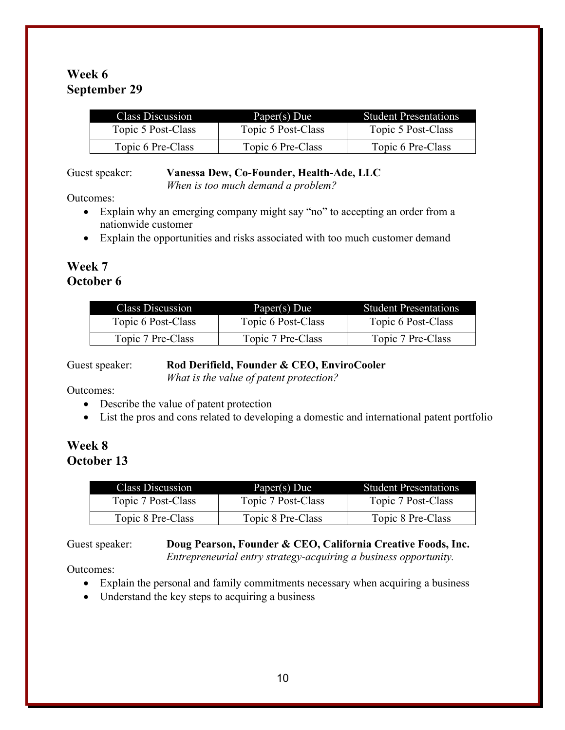## **Week 6 September 29**

| Class Discussion   | Paper(s) Due       | <b>Student Presentations</b> |
|--------------------|--------------------|------------------------------|
| Topic 5 Post-Class | Topic 5 Post-Class | Topic 5 Post-Class           |
| Topic 6 Pre-Class  | Topic 6 Pre-Class  | Topic 6 Pre-Class            |

#### Guest speaker: **Vanessa Dew, Co-Founder, Health-Ade, LLC**

*When is too much demand a problem?*

Outcomes:

- Explain why an emerging company might say "no" to accepting an order from a nationwide customer
- Explain the opportunities and risks associated with too much customer demand

## **Week 7 October 6**

| <b>Class Discussion</b> | Paper(s) Due       | <b>Student Presentations</b> |
|-------------------------|--------------------|------------------------------|
| Topic 6 Post-Class      | Topic 6 Post-Class | Topic 6 Post-Class           |
| Topic 7 Pre-Class       | Topic 7 Pre-Class  | Topic 7 Pre-Class            |

## Guest speaker: **Rod Derifield, Founder & CEO, EnviroCooler**

*What is the value of patent protection?*

Outcomes:

- Describe the value of patent protection
- List the pros and cons related to developing a domestic and international patent portfolio

## **Week 8 October 13**

| <b>Class Discussion</b> | Paper(s) Due       | <b>Student Presentations</b> |
|-------------------------|--------------------|------------------------------|
| Topic 7 Post-Class      | Topic 7 Post-Class | Topic 7 Post-Class           |
| Topic 8 Pre-Class       | Topic 8 Pre-Class  | Topic 8 Pre-Class            |

Guest speaker: **Doug Pearson, Founder & CEO, California Creative Foods, Inc.** *Entrepreneurial entry strategy-acquiring a business opportunity.*

- Explain the personal and family commitments necessary when acquiring a business
- Understand the key steps to acquiring a business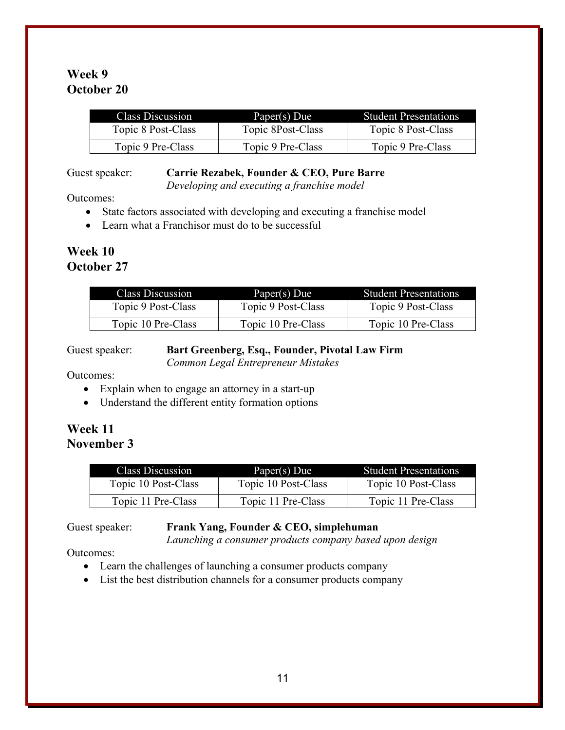## **Week 9 October 20**

| <b>Class Discussion</b> | Paper(s) Due      | <b>Student Presentations</b> |
|-------------------------|-------------------|------------------------------|
| Topic 8 Post-Class      | Topic 8Post-Class | Topic 8 Post-Class           |
| Topic 9 Pre-Class       | Topic 9 Pre-Class | Topic 9 Pre-Class            |

#### Guest speaker: **Carrie Rezabek, Founder & CEO, Pure Barre**

*Developing and executing a franchise model*

Outcomes:

- State factors associated with developing and executing a franchise model
- Learn what a Franchisor must do to be successful

# **Week 10**

**October 27**

| <b>Class Discussion</b> | Paper(s) Due       | <b>Student Presentations</b> |  |
|-------------------------|--------------------|------------------------------|--|
| Topic 9 Post-Class      | Topic 9 Post-Class | Topic 9 Post-Class           |  |
| Topic 10 Pre-Class      | Topic 10 Pre-Class | Topic 10 Pre-Class           |  |

## Guest speaker: **Bart Greenberg, Esq., Founder, Pivotal Law Firm**

*Common Legal Entrepreneur Mistakes*

Outcomes:

- Explain when to engage an attorney in a start-up
- Understand the different entity formation options

## **Week 11 November 3**

| Class Discussion    | Paper(s) Due        | <b>Student Presentations</b> |
|---------------------|---------------------|------------------------------|
| Topic 10 Post-Class | Topic 10 Post-Class | Topic 10 Post-Class          |
| Topic 11 Pre-Class  | Topic 11 Pre-Class  | Topic 11 Pre-Class           |

## Guest speaker: **Frank Yang, Founder & CEO, simplehuman**

*Launching a consumer products company based upon design*

- Learn the challenges of launching a consumer products company
- List the best distribution channels for a consumer products company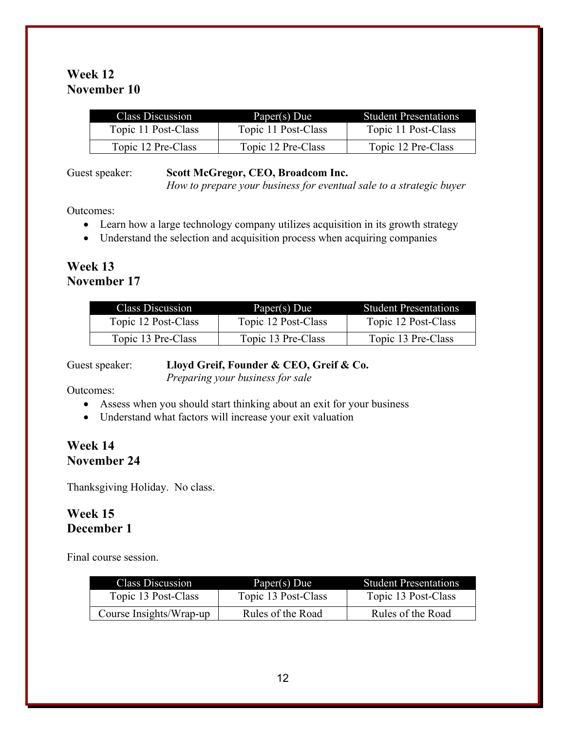## **Week 12 November 10**

| Class Discussion    | Paper(s) Due        | <b>Student Presentations</b> |
|---------------------|---------------------|------------------------------|
| Topic 11 Post-Class | Topic 11 Post-Class | Topic 11 Post-Class          |
| Topic 12 Pre-Class  | Topic 12 Pre-Class  | Topic 12 Pre-Class           |

#### Guest speaker: **Scott McGregor, CEO, Broadcom Inc.**

*How to prepare your business for eventual sale to a strategic buyer*

Outcomes:

- Learn how a large technology company utilizes acquisition in its growth strategy
- Understand the selection and acquisition process when acquiring companies

## **Week 13 November 17**

| <b>Class Discussion</b> | Paper(s) Due        | <b>Student Presentations</b> |
|-------------------------|---------------------|------------------------------|
| Topic 12 Post-Class     | Topic 12 Post-Class | Topic 12 Post-Class          |
| Topic 13 Pre-Class      | Topic 13 Pre-Class  | Topic 13 Pre-Class           |

## Guest speaker: **Lloyd Greif, Founder & CEO, Greif & Co.**

*Preparing your business for sale*

Outcomes:

- Assess when you should start thinking about an exit for your business
- Understand what factors will increase your exit valuation

## **Week 14 November 24**

Thanksgiving Holiday. No class.

## **Week 15 December 1**

Final course session.

| <b>Class Discussion</b> | Paper(s) Due        | <b>Student Presentations</b> |
|-------------------------|---------------------|------------------------------|
| Topic 13 Post-Class     | Topic 13 Post-Class | Topic 13 Post-Class          |
| Course Insights/Wrap-up | Rules of the Road   | Rules of the Road            |